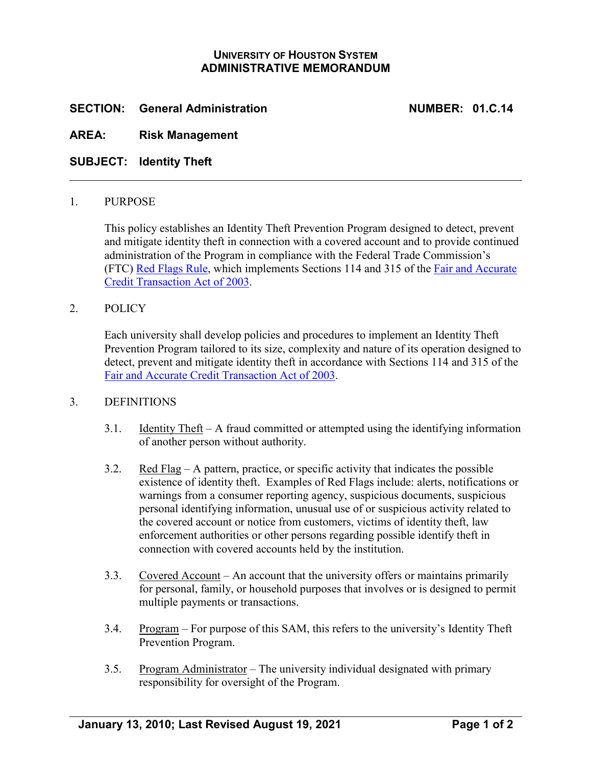# **UNIVERSITY OF HOUSTON SYSTEM ADMINISTRATIVE MEMORANDUM**

# **SECTION: General Administration NUMBER: 01.C.14**

## **AREA: Risk Management**

**SUBJECT: Identity Theft**

## 1. PURPOSE

This policy establishes an Identity Theft Prevention Program designed to detect, prevent and mitigate identity theft in connection with a covered account and to provide continued administration of the Program in compliance with the Federal Trade Commission's (FTC) [Red Flags Rule,](http://ftc.gov/os/fedreg/2007/november/071109redflags.pdf) which implements Sections 114 and 315 of the [Fair and Accurate](http://frwebgate.access.gpo.gov/cgi-bin/getdoc.cgi?dbname=108_cong_public_laws&docid=f:publ159.108.pdf)  [Credit Transaction Act of 2003.](http://frwebgate.access.gpo.gov/cgi-bin/getdoc.cgi?dbname=108_cong_public_laws&docid=f:publ159.108.pdf)

## 2. POLICY

Each university shall develop policies and procedures to implement an Identity Theft Prevention Program tailored to its size, complexity and nature of its operation designed to detect, prevent and mitigate identity theft in accordance with Sections 114 and 315 of the [Fair and Accurate Credit Transaction Act of 2003.](http://frwebgate.access.gpo.gov/cgi-bin/getdoc.cgi?dbname=108_cong_public_laws&docid=f:publ159.108.pdf)

## 3. DEFINITIONS

- 3.1. Identity Theft A fraud committed or attempted using the identifying information of another person without authority.
- 3.2. Red Flag A pattern, practice, or specific activity that indicates the possible existence of identity theft. Examples of Red Flags include: alerts, notifications or warnings from a consumer reporting agency, suspicious documents, suspicious personal identifying information, unusual use of or suspicious activity related to the covered account or notice from customers, victims of identity theft, law enforcement authorities or other persons regarding possible identify theft in connection with covered accounts held by the institution.
- 3.3. Covered Account An account that the university offers or maintains primarily for personal, family, or household purposes that involves or is designed to permit multiple payments or transactions.
- 3.4. Program For purpose of this SAM, this refers to the university's Identity Theft Prevention Program.
- 3.5. Program Administrator The university individual designated with primary responsibility for oversight of the Program.